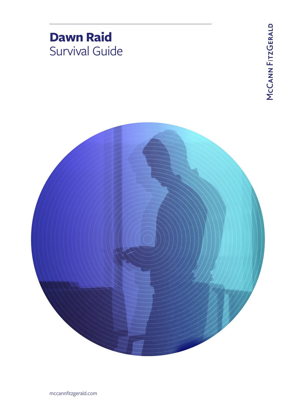

mccannfitzgerald.com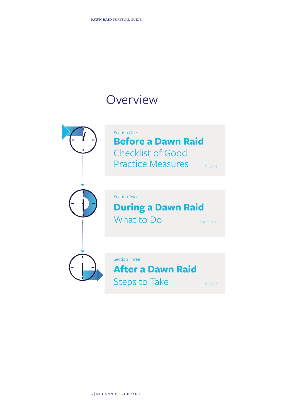# **Overview**

| <b>Section One</b><br><b>Before a Dawn Raid</b><br><b>Checklist of Good</b><br><b>Practice Measures</b><br>Page 3 |
|-------------------------------------------------------------------------------------------------------------------|
| <b>Section Two</b><br><b>During a Dawn Raid</b><br>What to Do<br>Pages 4-6                                        |
| <b>Section Three</b><br><b>After a Dawn Raid</b><br><b>Steps to Take</b><br>Page 7                                |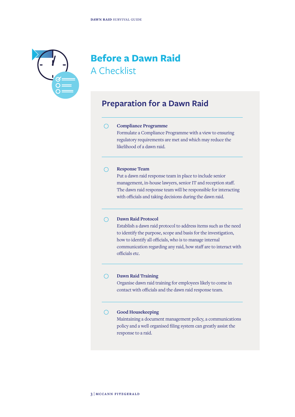

# **Before a Dawn Raid** A Checklist

# **Preparation for a Dawn Raid**

### **Compliance Programme**  $\bigcap$

Formulate a Compliance Programme with a view to ensuring regulatory requirements are met and which may reduce the likelihood of a dawn raid.

#### **Response Team**  $\bigcirc$

Put a dawn raid response team in place to include senior management, in-house lawyers, senior IT and reception staff. The dawn raid response team will be responsible for interacting with officials and taking decisions during the dawn raid.

### **Dawn Raid Protocol**  $\bigcap$

Establish a dawn raid protocol to address items such as the need to identify the purpose, scope and basis for the investigation, how to identify all officials, who is to manage internal communication regarding any raid, how staff are to interact with officials etc.

## **Dawn Raid Training**

 $\bigcirc$ 

Organise dawn raid training for employees likely to come in contact with officials and the dawn raid response team.

#### $\bigcirc$ **Good Housekeeping**

Maintaining a document management policy, a communications policy and a well organised filing system can greatly assist the response to a raid.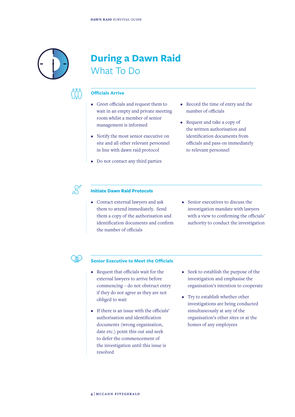What To Do





## **Officials Arrive**

• Greet officials and request them to wait in an empty and private meeting room whilst a member of senior management is informed

**During a Dawn Raid** 

- Notify the most senior executive on site and all other relevant personnel in line with dawn raid protocol
- Do not contact any third parties
- Record the time of entry and the number of officials
- Request and take a copy of the written authorisation and identification documents from officials and pass on immediately to relevant personnel



### **Initiate Dawn Raid Protocols**

- Contact external lawyers and ask them to attend immediately. Send them a copy of the authorisation and identification documents and confirm the number of officials
- Senior executives to discuss the investigation mandate with lawyers with a view to confirming the officials' authority to conduct the investigation



### **Senior Executive to Meet the Officials**

- Request that officials wait for the external lawyers to arrive before commencing – do not obstruct entry if they do not agree as they are not obliged to wait
- If there is an issue with the officials' authorisation and identification documents (wrong organisation, date etc.) point this out and seek to defer the commencement of the investigation until this issue is resolved
- Seek to establish the purpose of the investigation and emphasise the organisation's intention to cooperate
- Try to establish whether other investigations are being conducted simultaneously at any of the organisation's other sites or at the homes of any employees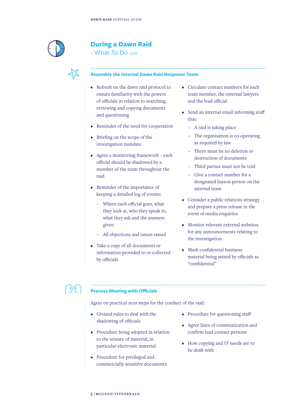

## **During a Dawn Raid**

- What To Do cont.



### **Assemble the Internal Dawn Raid Response Team**

- Refresh on the dawn raid protocol to ensure familiarity with the powers of officials in relation to searching, reviewing and copying documents and questioning
- Reminder of the need for cooperation
- Briefing on the scope of the investigation mandate
- Agree a monitoring framework each official should be shadowed by a member of the team throughout the raid
- Reminder of the importance of keeping a detailed log of events:
	- Where each official goes, what they look at, who they speak to, what they ask and the answers given
	- All objections and issues raised
- Take a copy of all documents or information provided to or collected by officials
- Circulate contact numbers for each team member, the external lawyers and the lead official
- Send an internal email informing staff that:
	- A raid is taking place
	- The organisation is co-operating as required by law
	- There must be no deletion or destruction of documents
	- Third parties must not be told
	- Give a contact number for a designated liaison person on the internal team
- Consider a public relations strategy and prepare a press release in the event of media enquiries
- Monitor relevant external websites for any announcements relating to the investigation
- Mark confidential business material being seized by officials as "confidential"

### ာ) (၀ **Process Meeting with Officials**

Agree on practical next steps for the conduct of the raid:

- Ground rules to deal with the shadowing of officials
- Procedure being adopted in relation to the seizure of material, in particular electronic material
- Procedure for privileged and commercially sensitive documents
- Procedure for questioning staff
- Agree lines of communication and confirm lead contact persons
- How copying and IT needs are to be dealt with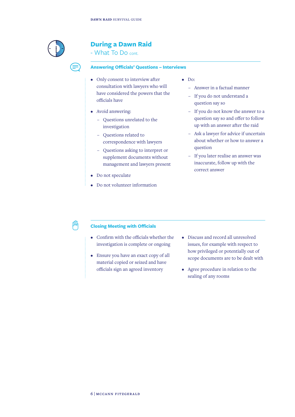

## **During a Dawn Raid**

- What To Do cont.

### **Answering Officials' Questions – Interviews**

- Only consent to interview after consultation with lawyers who will have considered the powers that the officials have
- Avoid answering:
	- Questions unrelated to the investigation
	- Questions related to correspondence with lawyers
	- Questions asking to interpret or supplement documents without management and lawyers present
- Do not speculate
- Do not volunteer information
- Do:
	- Answer in a factual manner
	- If you do not understand a question say so
	- If you do not know the answer to a question say so and offer to follow up with an answer after the raid
	- Ask a lawyer for advice if uncertain about whether or how to answer a question
	- If you later realise an answer was inaccurate, follow up with the correct answer

## **Closing Meeting with Officials**

- Confirm with the officials whether the investigation is complete or ongoing
- Ensure you have an exact copy of all material copied or seized and have officials sign an agreed inventory
- Discuss and record all unresolved issues, for example with respect to how privileged or potentially out of scope documents are to be dealt with
- Agree procedure in relation to the sealing of any rooms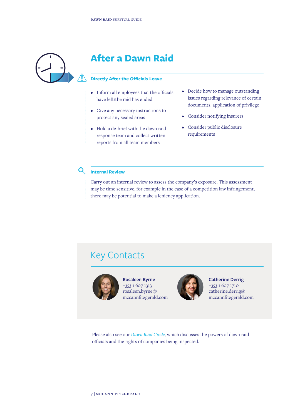

# **After a Dawn Raid**

## **Directly After the Officials Leave**

- Inform all employees that the officials have left/the raid has ended
- Give any necessary instructions to protect any sealed areas
- Hold a de-brief with the dawn raid response team and collect written reports from all team members
- Decide how to manage outstanding issues regarding relevance of certain documents, application of privilege
- Consider notifying insurers
- Consider public disclosure requirements

### $\mathsf{Q}$ **Internal Review**

Carry out an internal review to assess the company's exposure. This assessment may be time sensitive, for example in the case of a competition law infringement, there may be potential to make a leniency application.

# Key Contacts



**Rosaleen Byrne** +353 1 607 1313 rosaleen.byrne@ mccannfitzgerald.com



**Catherine Derrig** +353 1 607 1710 catherine.derrig@ mccannfitzgerald.com

Please also see our *Dawn Raid Guide,* which discusses the powers of dawn raid officials and the rights of companies being inspected.